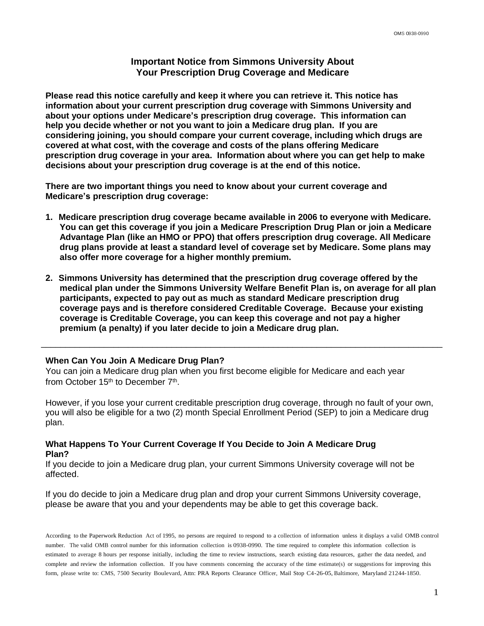# **Important Notice from Simmons University About Your Prescription Drug Coverage and Medicare**

**Please read this notice carefully and keep it where you can retrieve it. This notice has information about your current prescription drug coverage with Simmons University and about your options under Medicare's prescription drug coverage. This information can help you decide whether or not you want to join a Medicare drug plan. If you are considering joining, you should compare your current coverage, including which drugs are covered at what cost, with the coverage and costs of the plans offering Medicare prescription drug coverage in your area. Information about where you can get help to make decisions about your prescription drug coverage is at the end of this notice.**

**There are two important things you need to know about your current coverage and Medicare's prescription drug coverage:**

- **1. Medicare prescription drug coverage became available in 2006 to everyone with Medicare. You can get this coverage if you join a Medicare Prescription Drug Plan or join a Medicare Advantage Plan (like an HMO or PPO) that offers prescription drug coverage. All Medicare drug plans provide at least a standard level of coverage set by Medicare. Some plans may also offer more coverage for a higher monthly premium.**
- **2. Simmons University has determined that the prescription drug coverage offered by the medical plan under the Simmons University Welfare Benefit Plan is, on average for all plan participants, expected to pay out as much as standard Medicare prescription drug coverage pays and is therefore considered Creditable Coverage. Because your existing coverage is Creditable Coverage, you can keep this coverage and not pay a higher premium (a penalty) if you later decide to join a Medicare drug plan.**

\_\_\_\_\_\_\_\_\_\_\_\_\_\_\_\_\_\_\_\_\_\_\_\_\_\_\_\_\_\_\_\_\_\_\_\_\_\_\_\_\_\_\_\_\_\_\_\_\_\_\_\_\_\_\_\_\_\_\_\_\_\_\_\_\_\_\_\_\_\_\_\_\_\_\_\_\_\_\_\_\_\_\_

## **When Can You Join A Medicare Drug Plan?**

You can join a Medicare drug plan when you first become eligible for Medicare and each year from October 15<sup>th</sup> to December 7<sup>th</sup>.

However, if you lose your current creditable prescription drug coverage, through no fault of your own, you will also be eligible for a two (2) month Special Enrollment Period (SEP) to join a Medicare drug plan.

# **What Happens To Your Current Coverage If You Decide to Join A Medicare Drug Plan?**

If you decide to join a Medicare drug plan, your current Simmons University coverage will not be affected.

If you do decide to join a Medicare drug plan and drop your current Simmons University coverage, please be aware that you and your dependents may be able to get this coverage back.

According to the Paperwork Reduction Act of 1995, no persons are required to respond to a collection of information unless it displays a valid OMB control number. The valid OMB control number for this information collection is 0938-0990. The time required to complete this information collection is estimated to average 8 hours per response initially, including the time to review instructions, search existing data resources, gather the data needed, and complete and review the information collection. If you have comments concerning the accuracy of the time estimate(s) or suggestions for improving this form, please write to: CMS, 7500 Security Boulevard, Attn: PRA Reports Clearance Officer, Mail Stop C4-26-05, Baltimore, Maryland 21244-1850.